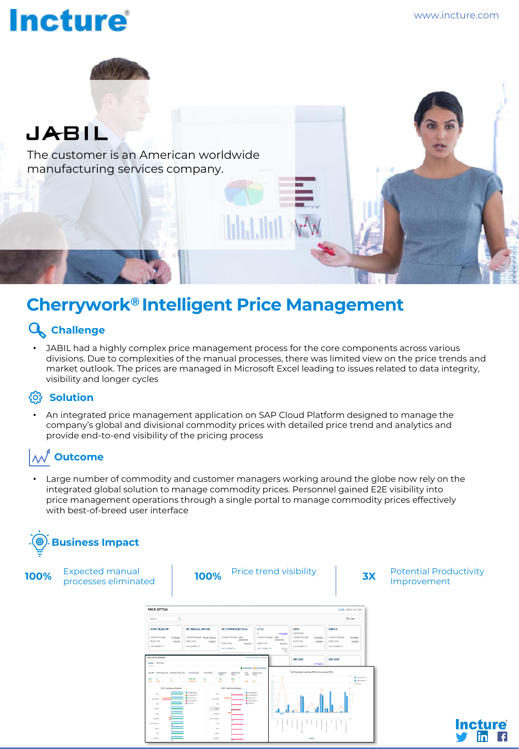# **Incture**



The customer is an American worldwide manufacturing services company.

### **Cherrywork® Intelligent Price Management**

#### **Challenge**

JABIL had a highly complex price management process for the core components across various divisions. Due to complexities of the manual processes, there was limited view on the price trends and market outlook. The prices are managed in Microsoft Excel leading to issues related to data integrity, visibility and longer cycles

#### $\ddot{\text{S}}$  Solution

• An integrated price management application on SAP Cloud Platform designed to manage the company's global and divisional commodity prices with detailed price trend and analytics and provide end-to-end visibility of the pricing process

#### **Outcome**

Large number of commodity and customer managers working around the globe now rely on the integrated global solution to manage commodity prices. Personnel gained E2E visibility into price management operations through a single portal to manage commodity prices effectively with best-of-breed user interface



Expected manual **3X** Potential Productivity<br>Improvement 100% Expected manual **100%** Price trend visibility **100%** Potential Productivity **100%** Potential Productivity **PRICE SETTIN Incture**® in